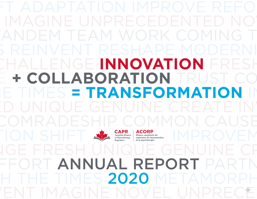# TACORP ALLE Alliance canadienne des<br>
of Physiotherapy | Alliance canadienne des<br>
Alliance canadienne des<br>
Alliance canadienne des<br>
Alliance canadienne des<br>
Alliance canadienne des<br>
Alliance canadienne des<br>
Alliance canadie FRESH UNIQUE CHALLENGE **INNOVATION** FRESH **+ COLLABORATION** TRUST CO **IMES = TRANSFORMATION**



E TIMES 2020 METAMOR FORT ANNUAL REPORT PAR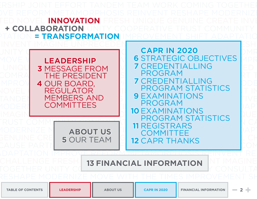<span id="page-1-0"></span>**INNOVATION + COLLABORATION = TRANSFORMATION**

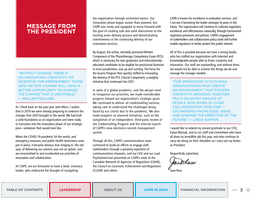## **ATE NOVEL CHALLENGE MESSAGE FROM THE PRESIDENT** RESH UNIQUE GENUIN

NVENT IMAGINE NOVE NPRECEDENTED FRES INNOVATION CREATE

<span id="page-2-0"></span>INVENT IMAGINE NOVEL **CHALLENGE FRESH UN** 

NPRECEDENTED FRES

*"WITHOUT CHANGE, THERE IS NO INNOVATION, CREATIVITY, OR INCENTIVE FOR IMPROVEMENT. THOSE WHO INITIATE CHANGE WILL HAVE A BETTER OPPORTUNITY TO MANAGE THE CHANGE THAT IS INEVITABLE."*  — WILLIAM POLLARD

As I think back on the past year and reflect, I realize that in 2019 we were already preparing to embrace the changes that 2020 brought to the world. We had built a solid foundation as an organization and were ready to transition into the innovation phase of our strategic plan—whatever that would look like.

When the COVID-19 pandemic hit the world, and emergency measures and public health restrictions were put in place, it became obvious that clinging to 'the old way' of delivering our services was not an option, and we recommitted to and accelerated our priorities of innovation and collaboration.

At CAPR, we are fortunate to have a bold, visionary leader, who embraced the thought of navigating

the organization through uncharted waters. Our innovation phase began sooner than planned, but CAPR was ready and equipped to move forward with the goal of creating safe and valid alternatives to the existing exam-delivery process and demonstrating inventiveness in the continuing delivery of our evaluation services.

By August, the online, remotely proctored Written Component of the Physiotherapy Competency Exam (PCE), which is necessary for new graduates and internationallyeducated candidates to be eligible for provisional licensure in most jurisdictions, was up and running. The focus for the Exams Program then quickly shifted to innovating the delivery of the PCE Clinical Component, a weighty initiative that continued into 2021.

In spite of a global pandemic, and the abrupt need to reorganize our priorities, we made considerable progress toward our organization's strategic goals. We continued to deliver all credentialling services, taking care to understand the challenges being faced by our clients due to the pandemic. We also made progress on planned initiatives, such as the completion of an independent, third-party review of the Credentialling Program and the internal launch of CAPR's new electronic-records management system.

Through all this, CAPR's communications team continued to build on efforts to engage with stakeholders through a growing repertoire of communications channels, and our CEO and our Lead Psychometrician presented on CAPR's work at the Canadian Network of Agencies of Regulation (CNAR), the Council on Licensure, Enforcement and Regulation (CLEAR) and others.

CAPR is known for excellence in evaluation services, and I can see it becoming the leader amongst its peers in the future. The organization will continue to cultivate regulatory excellence and effectiveness nationally, through harmonized regulatory processes and policies. CAPR's engagement of stakeholders and collaborative policy work will further enable regulators to better protect the public interest.

All of this is possible because we have a strong leader, who has staffed our organization with talented and knowledgeable people able to foster creativity and innovation. Our staff are outstanding, and without them, we would not be able to achieve the things we do and manage the changes needed.

*"FOR INNOVATION TO FLOURISH, ORGANIZATIONS MUST CREATE AN ENVIRONMENT THAT FOSTERS CREATIVITY; BRINGING TOGETHER MULTI-TALENTED GROUPS OF PEOPLE WHO WORK IN CLOSE COLLABORATION TOGETHER — EXCHANGING KNOWLEDGE, IDEAS AND SHAPING THE DIRECTION OF THE FUTURE."* — LINDA NAIMAN

I would like to extend my sincere gratitude to our CEO, Katya Masnyk, and to our staff and committees who have all done an incredible job this year, and who continue to carry me along on their shoulders as I carry out my duties as President.

Respectfully submitted,

mRass

Joan Ross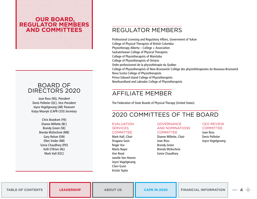## RESH NOVEL CHALLENG **NENT OUR BOARD, CREA REGULATOR MEMBERS AND COMMITTEES** IQUE GENUINE INNOVATI

CREATE INVENT IMAGINE INPRECEDENTED CREATE

<span id="page-3-0"></span>**NOVATION CREATE INVEN** 1AGINE UNPRECEDENTE

## BOARD OF DIRECTORS 2020

Joan Ross (NS), President Denis Pelletier (QC), Vice President Joyce Vogelgesang (AB) Treasurer Katya Masnyk (CAPR CEO) Secretary

> Chris Boodram (YK) Dianne Millette (BC) Brandy Green (SK) Brenda McKechnie (MB) Gary Rehan (ON) Ellen Snider (NB) Sonia Chaudhary (PEI) Kelli O'Brien (NL) Mark Hall (ESC)

## REGULATOR MEMBERS

Professional Licensing and Regulatory Affairs, Government of Yukon College of Physical Therapists of British Columbia Physiotherapy Alberta – College + Association Saskatchewan College of Physical Therapists College of Physiotherapists of Manitoba College of Physiotherapists of Ontario Ordre professionnel de la physiothérapie du Québec College of Physiotherapists of New Brunswick/ Collège des physiothérapeutes du Nouveau-Brunswick Nova Scotia College of Physiotherapists Prince Edward Island College of Physiotherapists Newfoundland and Labrador College of Physiotherapists

# AFFILIATE MEMBER

The Federation of State Boards of Physical Therapy (United States)

# 2020 COMMITTEES OF THE BOARD

## EVALUATION

#### **SERVICES** COMMITTEE

Mark Hall, Chair Dragana Susic Roger Hur Marla Nayer Ann Read Janelle Van Heeren Joyce Vogelgesang Cheri Gunn Kristin Taylor

GOVERNANCE AND NOMINATIONS **COMMITTEE** 

Dianne Millette, Chair Joan Ross Brandy Green Brenda McKechnie Sonia Chaudhary

CEO REVIEW **COMMITTEE** Joan Ross Denis Pelletier Joyce Vogelgesang

**[TABLE OF CONTENTS](#page-1-0) [LEADERSHIP](#page-2-0) [ABOUT US](#page-4-0) [CAPR IN 2020](#page-5-0) [FINANCIAL INFORMATION](#page-12-0) 4**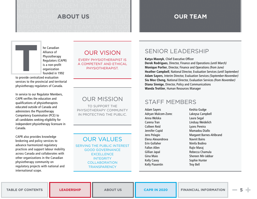## THER UNITY COOPERATIVE TRUST JOINT **ABOUT US** MUNITY COMMON CAUSE PARTNERSHIP

UNITY COOPERATIVE TRUCT COMPANESHIP

<span id="page-4-0"></span>TIMUNITY COMMUNICAUSE PARTNERSHIP NT EFFORT TANDEM TEAM WORK COMING

## TOGETHER UNITY TRUST COMMU **OUR TEAM** LTATION TANDEM JOINT EFFORT

MUNITY JOINT EFFORT TANDEM

UNITY TEAM WORK COMING TOG

he Canadian Alliance of Physiotherapy Regulators (CAPR) is a non-profit organization founded in 1992

to provide centralized evaluation services to the provincial and territorial physiotherapy regulators of Canada. **T**

In service to our Regulator Members, CAPR verifies the education and qualifications of physiotherapists educated outside of Canada and administers the Physiotherapy Competency Examination (PCE) to all candidates seeking eligibility for independent physiotherapy licensure in Canada.

CAPR also provides knowledge brokering and policy services to advance harmonized regulatory practices and support labour mobility across Canada and collaborates with other organizations in the Canadian physiotherapy community on regulatory projects with national and international scope.

## OUR VISION

EVERY PHYSIOTHERAPIST IS A COMPETENT AND ETHICAL PHYSIOTHERAPIST.

## OUR MISSION

TO SUPPORT THE PHYSIOTHERAPY COMMUNITY IN PROTECTING THE PUBLIC.

OUR VALUES

SERVING THE PUBLIC INTEREST GOOD GOVERNANCE **EXCELLENCE INTEGRITY COLLABORATION TRANSPARENCY** 

## SENIOR LEADERSHIP

Katya Masnyk, Chief Executive Officer

Derek Rodrigues, Director, Finance and Operations (until March) Monique Porlier, Director, Finance and Operations (from June) Heather Campbell, National Director, Evaluation Services (until September) Adam Sayers, Interim Director, Evaluation Services (September-November) Siu Mee Cheng, National Director, Evaluation Services (from November) Diana Sinnige, Director, Policy and Communications Wanda Trottier, Human Resources Manager

## STAFF MEMBERS

Adam Sayers Adryan Malcom-Zorec Anna Wolska Carena Tran Colleen Reid Jennifer Cupid Jens Pelagio Elena Alexandrova Erin Gollaher Fallon Allen Gillian Japal Gina Maio Kelly Casey Kelly Piasentin

Keshia Gudge Lakeysa Campbell Laura Segal Lindsay Weidelich Lyons Pereira Mamadou Diallo Margaret Barnes-Ahlbrand Navnit Bains Nimfa Bodino Rajiv Maraj Rebecca Chamula Shereen Mir-Jabbar Sophie Hunter Troy Bell

**[TABLE OF CONTENTS](#page-1-0) [LEADERSHIP](#page-2-0) ABOUT US [CAPR IN 2020](#page-5-0) [FINANCIAL INFORMATION](#page-12-0) 5**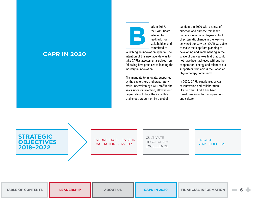## MOVE WITH THE TIMES IMPROVEMENT OF TIMES IMPROVEMENTS. **CAPR IN 2020** ON IMPROVE REFORM METAMORPH

IS REINVENT REINVENT REINVENT RESHAPE MODERNIZER MOVE WITH THE TIMES IMPROVEMENT OF TIMES IMPROVEMENT MENT SHIFT ADAPTATION RESHAPE ADAPTATION RESHAPE IMPROVE REFORM METAL STATISTICS. REINVENT REINVENT REINVENT RESHAPE MODERNIZER

ADAPTATION IMPROVE REFORM METAMORPHOSIS IMPROVEMENTAL AND A SERVICE OF THE CONTRACTOR SHIFT ADAPTATION REINFORMATION REINFORMATION

<span id="page-5-0"></span>METAMORPHOSIS MODERNIZE MOVE WITH THE TIMES IMPROVEMENT OF TIMES IMPROVEMENTS. MENT SHIFT ADAPTATION IMPROVEMENT ADAPTATION IMPROVEMENT

REINVENT REINVENT REINVENT RESHAPE MODERNIZER

IMPROVEMENT SHIFT ADAPTATION SHIFT ADAPTATION IMPROVE REFORM METAL STATISTICS. REINVENT REINVENT REINVENT RESHAPE MODERNIZER

ack in 2017, the CAPR Board listened to feedback from stakeholders and committed to **B**

launching an innovation agenda. The intention of this new agenda was to take CAPR's assessment services from following best practices to leading the industry in innovation.

This mandate to innovate, supported by the exploratory and preparatory work undertaken by CAPR staff in the years since its inception, allowed our organization to face the incredible challenges brought on by a global

pandemic in 2020 with a sense of direction and purpose. While we had envisioned a multi-year rollout of systematic change in the way we delivered our services, CAPR was able to make the leap from planning to developing and implementing in the space of one year—a feat that could not have been achieved without the cooperation, energy and talent of our supporters from across the Canadian physiotherapy community.

In 2020, CAPR experienced a year of innovation and collaboration like no other. And it has been transformational for our operations and culture.

## **STRATEGIC OBJECTIVES 2018–2022**

#### ENSURE EXCELLENCE IN EVALUATION SERVICES

CUI TIVATE REGULATORY EXCELLENCE

#### ENGAGE **STAKEHOLDERS**

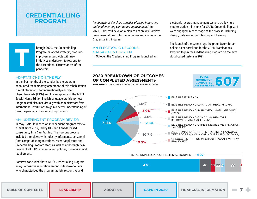## EFORM METAMORPHOS **CREDENTIALLING PROGRAM** ORM REINVENT RESHAPE

MODERNIZE MOVE WIT THE TIMES IMPROVEME

<span id="page-6-0"></span>IMPROVEMENT SHIFT MOV ADAPTATION IMPROVE



#### ADAPTATIONS ON THE FLY

In the first months of the pandemic, the program announced the temporary acceptance of tele-rehabilitation clinical placements for Internationally-educated physiotherapists (IEPTs) and the acceptance of the TOEFL Special Home Edition English language proficiency test. Program staff also met virtually with administrators from international institutions to gain a better understanding of how the pandemic was impacting students.

#### AN INDEPENDENT PROGRAM REVIEW

In May, CAPR launched an independent program review, its first since 2012, led by UK- and Canada-based consultancy firm CamProf Inc. The rigorous process included interviews with industry informants, personnel from comparable organizations, recent applicants and Credentialling Program staff, as well as a thorough desk review of all CAPR credentialling policies, procedures and requirements.

CamProf concluded that CAPR's Credentialling Program enjoys a positive reputation amongst its stakeholders, who characterized the program as fair, responsive and

"embody[ing] the characteristics of being innovative and implementing continuous improvement." In 2021, CAPR will develop a plan to act on key CamProf recommendations to further enhance and innovate the Credentialling Program.

## AN ELECTRONIC-RECORDS MANAGEMENT SYSTEM

In October, the Credentialling Program launched an

electronic records management system, achieving a modernization milestone for CAPR. Credentialling staff were engaged in each stage of the process, including design, data conversion, testing and training.

The launch of the system lays the groundwork for an online client portal and for the CAPR Examinations Program to join the Credentialling Program on the new cloud-based system in 2021.

## **2020 BREAKDOWN OF OUTCOMES OF COMPLETED ASSESSMENTS**

**TIME PERIOD:** JANUARY 1, 2020 TO DECEMBER 31, 2020



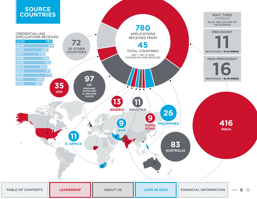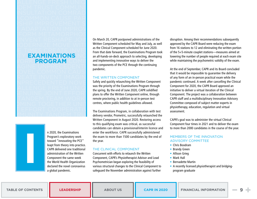## **E TIMES CREATE INVEN EXAMINATIONS PROGRAM** AGINE UNPRECEDENTED

IOVEL COMMON CAUSE REATE INVENT IMAGINE NPRECEDENTED NOVE

GENUINE JOINT EFFORT TANDEM TEAM WORK

T EFFORT COOPERATIV

1ODERNIZE MOVE WITH

<span id="page-8-0"></span> $\blacksquare$ ALLENGE FRESH UNIQ IDEM TRUST COMMUNI INSULTATION COMRAD <sup>P</sup> COMMON CAUSE PAR RSHIP IMPROVEMENT SH **T ADAPTATION IMPROV** EFORM METAMORPHOS

**I**

n 2020, the Examinations Program's exploratory work toward "innovating the PCE" leapt from theory into practice. CAPR delivered one traditional administration of the Written Component the same week the World Health Organization declared the novel coronavirus a global pandemic.

EINVENT RESHAPE JOINT On March 20, CAPR postponed administrations of the Written Component scheduled for May and July, as well as the Clinical Component scheduled for June 2020. From that date forward, the Examinations Program took an all-hands-on-deck approach to selecting, developing and implementing innovative ways to deliver the two components of the PCE through the continuing pandemic.

#### THE WRITTEN COMPONENT

ALLENGE FRESH UNIQ<mark>I w</mark> DMING TOGETHER UNIT Safely and quickly relaunching the Written Component was the priority of the Examinations Program through the spring. By the end of June 2020, CAPR solidified plans to offer the Written Component online, through remote proctoring, in addition to at in-person test centres, where public health guidelines allowed.

**IMUNITY TANDEM TRUS** The Examinations Program, in collaboration with test delivery vendor, Prometric, successfully relaunched the Written Component in August 2020. Restoring access to this qualifying exam was critical, as successful candidates can obtain a provisional/interim licence and enter the workforce. CAPR successfully administered the exam to more than 1500 candidates by the end of the year.

#### THE CLINICAL COMPONENT

Concurrent with efforts to relaunch the Written Component, CAPR's Physiotherapist Advisor and Lead Psychometrician began exploring the feasibility of various structural changes to the Clinical Component to safeguard the November administration against further

disruption. Among their recommendations subsequently approved by the CAPR Board were reducing the exam from 16 stations to 12 and eliminating the written portion of the 5+5-minute couplet stations—measures aimed at lowering the number of people required at each exam site while maintaining the psychometric validity of the exam.

At the end of September, CAPR and its Board concluded that it would be impossible to guarantee the delivery of any form of an in-person practical exam while the pandemic continued. A week after cancelling the Clinical Component for 2020, the CAPR Board approved an initiative to deliver a virtual iteration of the Clinical Component. The project was a collaboration between CAPR staff and a multidisciplinary Innovation Advisory Committee composed of subject matter experts in physiotherapy, education, regulation and virtual assessment.

CAPR's goal was to administer the virtual Clinical Component four times in 2021 and to deliver the exam to more than 2000 candidates in the course of the year.

#### MEMBERS OF THE INNOVATION ADVISORY COMMITTEE

- Chris Boodram
- Brandy Green
- Allison Grieg
- Mark Hall
- Bernadette Martin
- A recently licensed physiotherapist and bridgingprogram graduate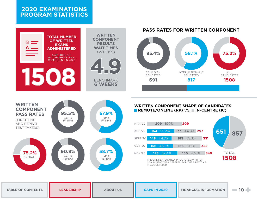## <span id="page-9-0"></span>**2020 EXAMINATIONS PROGRAM STATISTICS**





**WRITTEN COMPONENT SHARE OF CANDIDATES REMOTE/ONLINE (RP)** VS. **IN-CENTRE (IC)** 



| <b>TABLE OF CONTENTS</b> | <b>LEADERSHIP</b> | <b>ABOUT US</b> | <b>CAPR IN 2020</b> | <b>FINANCIAL INFORMATION</b> | $=10$ |
|--------------------------|-------------------|-----------------|---------------------|------------------------------|-------|
|--------------------------|-------------------|-----------------|---------------------|------------------------------|-------|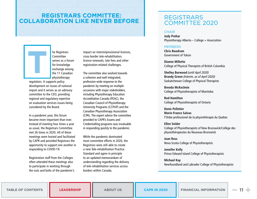## **EFORM METAMORPHOSIS MOVE WITH THE REGISTRARS COMMITTEE: COLLABORATION LIKE NEVER BEFORE** MODERNIZE MOVE WITH THE TIMES UNITY

FRESH UNIQUE GENUINE JOINT EFFORT TAN

<span id="page-10-0"></span>IPROVEMENT SHIFT ADAPTATION IMPROV

he Registrars **Committee** serves as a forum for knowledge exchange among the 11 Canadian physiotherapy

regulators. It supports policy development on issues of national import and it serves as an advisory committee to the CEO, providing regional and regulatory expertise on evaluation services issues being considered by the Board.

**T**

In a pandemic year, this forum became more important than ever. Instead of meeting four times a year as usual, the Registrars Committee met 26 times in 2020. All of these meetings were hosted and facilitated by CAPR and provided Registrars the opportunity to support one another in responding to COVID-19.

Registration staff from the Colleges often attended these meetings also to participate in working through the nuts and bolts of the pandemic's impact on interim/provisional licences, cross-border tele-rehabilitation, licence renewals, late fees and other registration-related challenges.

The committee also worked towards a cohesive and well integrated, profession-wide response to the pandemic by meeting on multiple occasions with major stakeholders, including Physiotherapy Education Accreditation Canada (PEAC), the Canadian Council of Physiotherapy University Programs (CCPUP) and the Canadian Physiotherapy Association (CPA). The expert advice the committee provided to CAPR's Exams and Credentialling programs was invaluable in responding quickly to the pandemic.

While the pandemic dominated most committee efforts in 2020, the Registrars were still able to create a new Tele-rehabilitation Practice Standard and agree in principle to an updated memorandum of understanding regarding the delivery of tele-rehabilitation services across borders within Canada.

## REGISTRARS COMMITTEE 2020

#### **CHAIR**

Jody Prohar Physiotherapy Alberta – College + Association

#### **MEMBERS**

Chris Boodram Government of Yukon

Dianne Millette College of Physical Therapists of British Columbia

Shelley Burwood (until April 2020) Brandy Green (Interim, as of April 2020) Saskatchewan College of Physical Therapists

Brenda McKechnie College of Physiotherapists of Manitoba

Rod Hamilton College of Physiotherapists of Ontario

Denis Pelletier Marie-France Salvas l'Ordre professionel de la physiothérapie du Quebec

Ellen Snider College of Physiotherapists of New Brunswick/Collège des physiothérapeutes du Nouveau-Brunswick

Joan Ross Nova Scotia College of Physiotherapists

Jennifer Kelly Prince Edward Island College of Physiotherapists

Michael Kay Newfoundland and Labrador College of Physiotherapists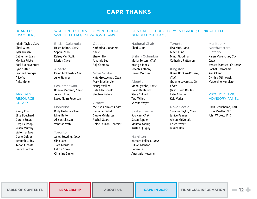## RESHAPE MODERNIZE MOVE WITH THE TIMES CREATE INVENT IMAGINE UNPRECED **CAPR THANKS** JOINT EFFORT TANDEM TEAM WORK COMING TANDEM TEAM WORK COMING TO THE COMING TOGETHER UNITS CONTINUES. THE CONTINUES

TRUST COMPUTER COMPUTER COMPUTER COMPUTER COMPUTER COMPUTER COMPUTER COMPUTER COMPUTER COMPUTER COMPUTER COMPU

<span id="page-11-0"></span>IMPROVEMENT SHIFT ADAPTATION IMPROVEMENT SHIFT ADAPTATION IMPROVEMENT SHIFT ADAPTATION IMPROVEMENT SHIFT AND A

### BOARD OF **FXAMINERS**

Kristin Taylor, Chair Cheri Gunn Tyler Friesen Catherine Evans Monica Fricke Roel Buenaventura Lynn Sutter Leanne Loranger Alice Yu Anita Gohel

## APPEALS **RESOURCE GROUP**

Nancy Cho Élise Bouchard Gareth Sneath Greg Heikoop Susan Murphy Victorina Baxan Diane Dufour Kenneth Gilfoy Kedar K. Mate Cindy Ellerton

### WRITTEN TEST DEVELOPMENT GROUP. WRITTEN ITEM GENERATION TEAMS

#### British Columbia

Helen Bolton, Chair Sophia Zhao Kelsey Van Stolk Marian Cayer

Alberta Karen McIntosh, Chair

Julie Stenner

## Saskatchewan

Bonnie Maclean, Chair Jocelyn Krieg Lacey Nairn Pederson

#### Manitoba

Rudy Niebuhr, Chair Mirei Belton Allison Klassen Vanessa Voth

#### Toronto

Janet Bowring, Chair Gina Lam Tiara Mardosas Felicia Chow Christina Simion

Quebec Katharina Ciobanete, Chair Sharon Ho Amanda Lee Raji Cambow

Nova Scotia Kate Grosweiner, Chair

Mark MacKenzie Nancy Walker Reta MacDonald Stephen Richey

#### Ottawa

Melissa Cormier, Chair Benjamin Tobali Carole McMaster Rachel Goard Chloe Lauzon-Ganthier

#### CLINICAL TEST DEVELOPMENT GROUP, CLINICAL ITEM GENERATION TEAMS

National Chair Cheri Gunn

## British Columbia

Maria Bertoni, Chair Rosalyn Jones Joseph Anthony Trevor Moizumi

## Alberta

Mona Iyizoba, Chair David Benterud Stacy Culbert Tara Willes Sheena Whyte

Saskatchewan Soo Kim, Chair Susan Tupper Melissa Koenig Kristen Quigley

#### Hamilton

Barbara Pollock, Chair Gillian Manson Denise Lai Anastasia Newman

Toronto Lisa Muc, Chair Mavis Fung Mindi Goodman Catherine Patterson

## Kingston

Diana Hopkins-Rosseel, Chair Graeme Leverette, Co-Chair (Tasos) Tom Doulas Kate Attwood Kyle Vader

#### Nova Scotia

Suzanne Taylor, Chair Janice Palmer Alison McDonald Krista Sweet Jessica Roy

## Manitoba/ Northwestern Ontario Karen Malenchak, Co-Chair Jessica Marasco, Co-Chair Rachel Desrochers Kim Okano Cynthia Otfinowski Madeleine Hongisto

#### PSYCHOMETRIC ADVISORY PANEL

Chris Beauchamp, PhD Lorin Mueller, PhD John Wickett, PhD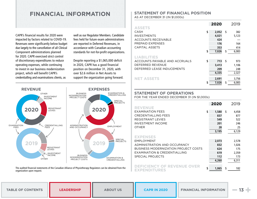## *(ORK ADAPTATION UNPRECEDENTE* **FINANCIAL INFORMATION** HER METAMORPHOSIS COOPERATIV

**EINVENT MOVE WITH THE TIMES RES** APE CHALLENGE FRESH UNIQUE GENUIDE GENUIDE GENUIDE GENUIDE GENUIDE GENUIDE GENUIDE GENUIDE GENUIDE GENUIDE GE

<span id="page-12-0"></span>PARTNERSHIP COMMON CAUSE TRUST IVENT TANDEM SHIFT IMAGINE TEA

CAPR's financial results for 2020 were impacted by factors related to COVID-19. Revenues were significantly below budget due largely to the cancellation of all Clinical Component administrations planned for 2020. CAPR exercised strict control of discretionary expenditures to reduce operating expenses, while continuing to invest in our business modernization project, which will benefit CAPR's credentialling and examinations clients, as

well as our Regulator Members. Candidate fees held for future exam administrations are reported in Deferred Revenues, in accordance with Canadian accounting standards for not-for-profit organizations.

Despite reporting a \$1,065,000 deficit in 2020, CAPR has a good financial position on December 31, 2020, with over \$2.6 million in Net Assets to support the organization going forward.



The audited financial statements of the Canadian Alliance of Physiotherapy Regulators can be obtained from the organization upon request.

#### **STATEMENT OF FINANCIAL POSITION**  AS AT DECEMBER 31 (IN \$1,000s)

| <b>ASSETS</b>                 | 2020        |    | 2019  |
|-------------------------------|-------------|----|-------|
| CASH                          | \$<br>2,052 | S  | 382   |
| <b>INVESTMENTS</b>            | 4,021       |    | 5,123 |
| <b>ACCOUNTS RECEIVABLE</b>    | 424         |    |       |
| PREPAID EXPENSES              | 176         |    | 164   |
| CAPITAL ASSETS                | 353         |    | 414   |
|                               | \$<br>7,026 | \$ | 6,083 |
| <b>LIABILITIES</b>            |             |    |       |
| ACCOUNTS PAYABLE AND ACCRUALS | \$<br>713   | S  | 973   |
| DEFERRED REVENUE              | 3,413       |    | 1,106 |
| DEFERRED LEASE INDUCEMENTS    | 209         |    | 248   |
|                               | 4,335       |    | 2,327 |
| <b>NET ASSETS</b>             | 2,691       |    | 3,756 |
|                               | \$<br>7.026 | S  | 6.083 |

## **STATEMENT OF OPERATIONS**

FOR THE YEAR ENDED DECEMBER 31 (IN \$1,000s)

|                                                          | 2020        | 2019        |
|----------------------------------------------------------|-------------|-------------|
| <b>REVENUE</b>                                           |             |             |
| <b>FXAMINATION FFFS</b>                                  | \$<br>1,580 | \$<br>4,458 |
| <b>CREDENTIALLING FEES</b>                               | 837         | 877         |
| REGISTRANT LEVIES                                        | 549         | 522         |
| <b>INVESTMENT INCOME</b>                                 | 201         | 246         |
| <b>OTHER</b>                                             | 28          | 25          |
|                                                          | 3,195       | 6,129       |
| <b>EXPENSES</b>                                          |             |             |
| <b>EMPLOYMENT</b>                                        | 2,073       | 2,578       |
| ADMINISTRATION AND OCCUPANCY                             | 832         | 1,026       |
| BUSINESS MODERNIZATION PROJECT COSTS                     | 624         | 175         |
| EXAMINATION & CREDENTIALLING                             | 619         | 2,359       |
| SPECIAL PROJECTS                                         | 112         | 173         |
|                                                          | 4.260       | 6,311       |
| <b>DEFICIENCY OF REVENUE OVER</b><br><b>EXPENDITURES</b> | \$<br>1.065 | \$<br>182   |

| <b>TABLE OF CONTENTS</b> | <b>LEADERSHIP</b> | <b>ABOUT US</b> | <b>CAPR IN 2020</b> | <b>FINANCIAL INFORMATION</b> |  |
|--------------------------|-------------------|-----------------|---------------------|------------------------------|--|
|--------------------------|-------------------|-----------------|---------------------|------------------------------|--|